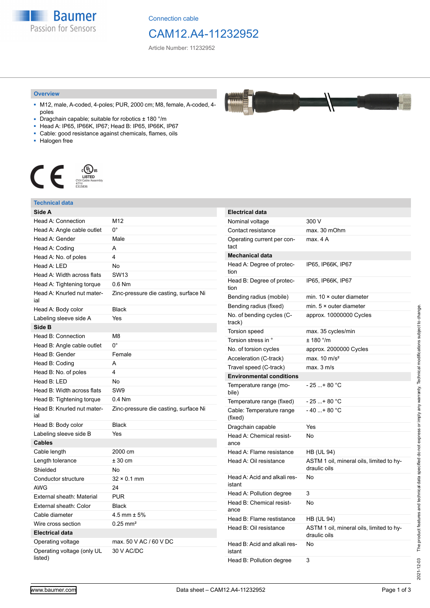**Baumer** Passion for Sensors

Connection cable

## CAM12.A4-11232952

Article Number: 11232952

#### **Overview**

- M12, male, A-coded, 4-poles; PUR, 2000 cm; M8, female, A-coded, 4 poles
- Dragchain capable; suitable for robotics ± 180 °/m
- Head A: IP65, IP66K, IP67; Head B: IP65, IP66K, IP67
- Cable: good resistance against chemicals, flames, oils
- Halogen free



### **Technical data**

| Side A                                |                                       |
|---------------------------------------|---------------------------------------|
| Head A: Connection                    | M12                                   |
| Head A: Angle cable outlet            | $0^{\circ}$                           |
| Head A: Gender                        | Male                                  |
| Head A: Coding                        | A                                     |
| Head A: No. of poles                  | 4                                     |
| Head A: LED                           | No                                    |
| Head A: Width across flats            | <b>SW13</b>                           |
| Head A: Tightening torque             | $0.6$ Nm                              |
| Head A: Knurled nut mater-<br>ial     | Zinc-pressure die casting, surface Ni |
| Head A: Body color                    | <b>Black</b>                          |
| Labeling sleeve side A                | Yes                                   |
| Side B                                |                                       |
| Head B: Connection                    | M8                                    |
| Head B: Angle cable outlet            | 0°                                    |
| Head B: Gender                        | Female                                |
| Head B: Coding                        | A                                     |
| Head B: No. of poles                  | 4                                     |
| Head B: LED                           | <b>No</b>                             |
| Head B: Width across flats            | SW <sub>9</sub>                       |
| Head B: Tightening torque             | $0.4$ Nm                              |
| Head B: Knurled nut mater-<br>ial     | Zinc-pressure die casting, surface Ni |
| Head B: Body color                    | <b>Black</b>                          |
| Labeling sleeve side B                | Yes                                   |
| <b>Cables</b>                         |                                       |
| Cable length                          | 2000 cm                               |
| Length tolerance                      | $± 30$ cm                             |
| Shielded                              | <b>No</b>                             |
| Conductor structure                   | $32 \times 0.1$ mm                    |
| <b>AWG</b>                            | 24                                    |
| External sheath: Material             | <b>PUR</b>                            |
| External sheath: Color                | <b>Black</b>                          |
| Cable diameter                        | $4.5$ mm $\pm 5%$                     |
| Wire cross section                    | $0.25 \text{ mm}^2$                   |
| <b>Electrical data</b>                |                                       |
| Operating voltage                     | max, 50 V AC / 60 V DC                |
| Operating voltage (only UL<br>listed) | 30 V AC/DC                            |

| <b>Electrical data</b>                 |                                                          |
|----------------------------------------|----------------------------------------------------------|
| Nominal voltage                        | 300 V                                                    |
| Contact resistance                     | max. 30 mOhm                                             |
| Operating current per con-<br>tact     | max. 4 A                                                 |
| <b>Mechanical data</b>                 |                                                          |
| Head A: Degree of protec-<br>tion      | IP65, IP66K, IP67                                        |
| Head B: Degree of protec-<br>tion      | IP65, IP66K, IP67                                        |
| Bending radius (mobile)                | min. $10 \times$ outer diameter                          |
| Bending radius (fixed)                 | min. $5 \times$ outer diameter                           |
| No. of bending cycles (C-<br>track)    | approx. 10000000 Cycles                                  |
| Torsion speed                          | max. 35 cycles/min                                       |
| Torsion stress in °                    | ± 180 °/m                                                |
| No. of torsion cycles                  | approx. 2000000 Cycles                                   |
| Acceleration (C-track)                 | max. $10 \text{ m/s}^2$                                  |
| Travel speed (C-track)                 | max. 3 m/s                                               |
| <b>Environmental conditions</b>        |                                                          |
| Temperature range (mo-<br>bile)        | - 25 + 80 °C                                             |
| Temperature range (fixed)              | - 25 + 80 °C                                             |
| Cable: Temperature range<br>(fixed)    | $-40+80 °C$                                              |
| Dragchain capable                      | Yes                                                      |
| Head A: Chemical resist-<br>ance       | No                                                       |
| Head A: Flame resistance               | <b>HB (UL 94)</b>                                        |
| Head A: Oil resistance                 | ASTM 1 oil, mineral oils, limited to hy-<br>draulic oils |
| Head A: Acid and alkali res-<br>istant | No                                                       |
| Head A: Pollution degree               | 3                                                        |
| Head B: Chemical resist-<br>ance       | No                                                       |
| Head B: Flame restistance              | HB (UL 94)                                               |
| Head B: Oil resistance                 | ASTM 1 oil, mineral oils, limited to hy-<br>draulic oils |
| Head B: Acid and alkali res-<br>istant | No                                                       |
| Head B: Pollution degree               | 3                                                        |

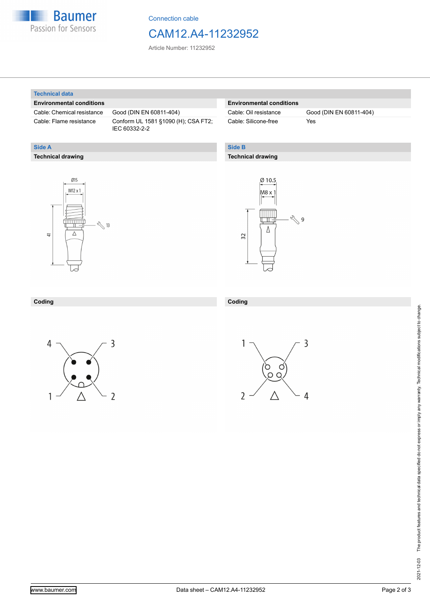

Connection cable

## CAM12.A4-11232952

Article Number: 11232952

#### **Technical data**

**Technical drawing**

**Side A**

#### **Environmental conditions**

Cable: Chemical resistance Good (DIN EN 60811-404)

Cable: Flame resistance Conform UL 1581 §1090 (H); CSA FT2; IEC 60332-2-2

#### **Environmental conditions**

Cable: Silicone-free Yes

Cable: Oil resistance Good (DIN EN 60811-404)

### **Side B**

#### **Technical drawing**





#### **Coding Coding**